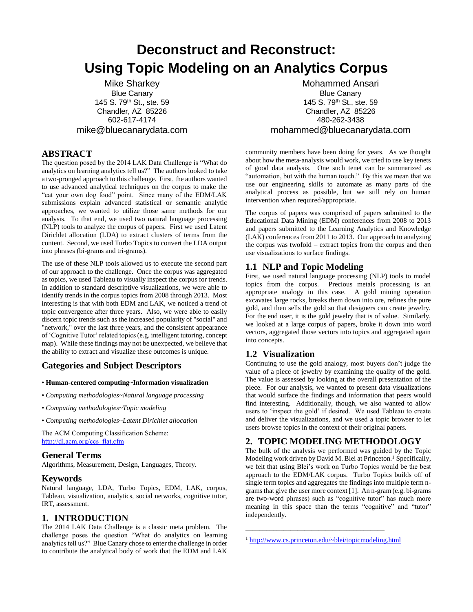# **Deconstruct and Reconstruct: Using Topic Modeling on an Analytics Corpus**

Mike Sharkey Blue Canary 145 S. 79th St., ste. 59 Chandler, AZ 85226 602-617-4174 mike@bluecanarydata.com

## **ABSTRACT**

The question posed by the 2014 LAK Data Challenge is "What do analytics on learning analytics tell us?" The authors looked to take a two-pronged approach to this challenge. First, the authors wanted to use advanced analytical techniques on the corpus to make the "eat your own dog food" point. Since many of the EDM/LAK submissions explain advanced statistical or semantic analytic approaches, we wanted to utilize those same methods for our analysis. To that end, we used two natural language processing (NLP) tools to analyze the corpus of papers. First we used Latent Dirichlet allocation (LDA) to extract clusters of terms from the content. Second, we used Turbo Topics to convert the LDA output into phrases (bi-grams and tri-grams).

The use of these NLP tools allowed us to execute the second part of our approach to the challenge. Once the corpus was aggregated as topics, we used Tableau to visually inspect the corpus for trends. In addition to standard descriptive visualizations, we were able to identify trends in the corpus topics from 2008 through 2013. Most interesting is that with both EDM and LAK, we noticed a trend of topic convergence after three years. Also, we were able to easily discern topic trends such as the increased popularity of "social" and "network," over the last three years, and the consistent appearance of 'Cognitive Tutor' related topics(e.g. intelligent tutoring, concept map). While these findings may not be unexpected, we believe that the ability to extract and visualize these outcomes is unique.

## **Categories and Subject Descriptors**

#### • **Human-centered computing~Information visualization**

- *Computing methodologies~Natural language processing*
- *Computing methodologies~Topic modeling*
- *Computing methodologies~Latent Dirichlet allocation*

The ACM Computing Classification Scheme: [http://dl.acm.org/ccs\\_flat.cfm](http://dl.acm.org/ccs_flat.cfm)

## **General Terms**

Algorithms, Measurement, Design, Languages, Theory.

## **Keywords**

Natural language, LDA, Turbo Topics, EDM, LAK, corpus, Tableau, visualization, analytics, social networks, cognitive tutor, IRT, assessment.

# **1. INTRODUCTION**

The 2014 LAK Data Challenge is a classic meta problem. The challenge poses the question "What do analytics on learning analytics tell us?" Blue Canary chose to enter the challenge in order to contribute the analytical body of work that the EDM and LAK

Mohammed Ansari Blue Canary 145 S. 79th St., ste. 59 Chandler, AZ 85226 480-262-3438 mohammed@bluecanarydata.com

community members have been doing for years. As we thought about how the meta-analysis would work, we tried to use key tenets of good data analysis. One such tenet can be summarized as "automation, but with the human touch." By this we mean that we use our engineering skills to automate as many parts of the analytical process as possible, but we still rely on human intervention when required/appropriate.

The corpus of papers was comprised of papers submitted to the Educational Data Mining (EDM) conferences from 2008 to 2013 and papers submitted to the Learning Analytics and Knowledge (LAK) conferences from 2011 to 2013. Our approach to analyzing the corpus was twofold – extract topics from the corpus and then use visualizations to surface findings.

## **1.1 NLP and Topic Modeling**

First, we used natural language processing (NLP) tools to model topics from the corpus. Precious metals processing is an appropriate analogy in this case. A gold mining operation excavates large rocks, breaks them down into ore, refines the pure gold, and then sells the gold so that designers can create jewelry. For the end user, it is the gold jewelry that is of value. Similarly, we looked at a large corpus of papers, broke it down into word vectors, aggregated those vectors into topics and aggregated again into concepts.

# **1.2 Visualization**

Continuing to use the gold analogy, most buyers don't judge the value of a piece of jewelry by examining the quality of the gold. The value is assessed by looking at the overall presentation of the piece. For our analysis, we wanted to present data visualizations that would surface the findings and information that peers would find interesting. Additionally, though, we also wanted to allow users to 'inspect the gold' if desired. We used Tableau to create and deliver the visualizations, and we used a topic browser to let users browse topics in the context of their original papers.

# **2. TOPIC MODELING METHODOLOGY**

The bulk of the analysis we performed was guided by the Topic Modeling work driven by David M. Blei at Princeton.<sup>1</sup> Specifically, we felt that using Blei's work on Turbo Topics would be the best approach to the EDM/LAK corpus. Turbo Topics builds off of single term topics and aggregates the findings into multiple term ngrams that give the user more context [1]. An n-gram (e.g. bi-grams are two-word phrases) such as "cognitive tutor" has much more meaning in this space than the terms "cognitive" and "tutor" independently.

\_\_\_\_\_\_\_\_\_\_\_\_\_\_\_\_\_\_\_\_\_\_\_\_\_\_\_\_\_\_\_\_\_\_\_\_\_\_\_\_

<sup>1</sup> <http://www.cs.princeton.edu/~blei/topicmodeling.html>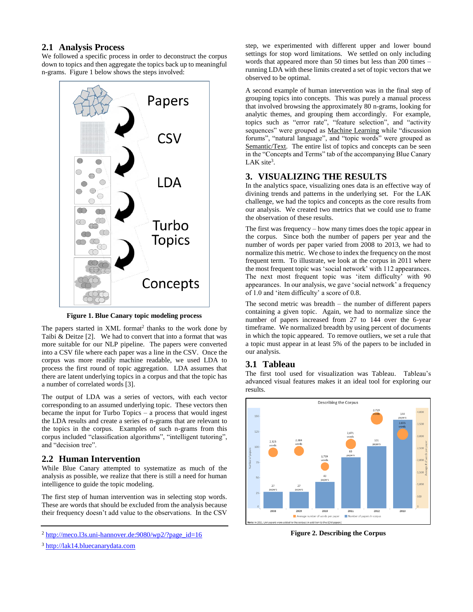#### **2.1 Analysis Process**

We followed a specific process in order to deconstruct the corpus down to topics and then aggregate the topics back up to meaningful n-grams. Figure 1 below shows the steps involved:



**Figure 1. Blue Canary topic modeling process**

The papers started in XML format<sup>2</sup> thanks to the work done by Taibi & Deitze [2]. We had to convert that into a format that was more suitable for our NLP pipeline. The papers were converted into a CSV file where each paper was a line in the CSV. Once the corpus was more readily machine readable, we used LDA to process the first round of topic aggregation. LDA assumes that there are latent underlying topics in a corpus and that the topic has a number of correlated words [3].

The output of LDA was a series of vectors, with each vector corresponding to an assumed underlying topic. These vectors then became the input for Turbo Topics – a process that would ingest the LDA results and create a series of n-grams that are relevant to the topics in the corpus. Examples of such n-grams from this corpus included "classification algorithms", "intelligent tutoring", and "decision tree".

#### **2.2 Human Intervention**

While Blue Canary attempted to systematize as much of the analysis as possible, we realize that there is still a need for human intelligence to guide the topic modeling.

The first step of human intervention was in selecting stop words. These are words that should be excluded from the analysis because their frequency doesn't add value to the observations. In the CSV

step, we experimented with different upper and lower bound settings for stop word limitations. We settled on only including words that appeared more than 50 times but less than 200 times – running LDA with these limits created a set of topic vectors that we observed to be optimal.

A second example of human intervention was in the final step of grouping topics into concepts. This was purely a manual process that involved browsing the approximately 80 n-grams, looking for analytic themes, and grouping them accordingly. For example, topics such as "error rate", "feature selection", and "activity sequences" were grouped as Machine Learning while "discussion forums", "natural language", and "topic words" were grouped as Semantic/Text. The entire list of topics and concepts can be seen in the "Concepts and Terms" tab of the accompanying Blue Canary LAK site<sup>3</sup>.

#### **3. VISUALIZING THE RESULTS**

In the analytics space, visualizing ones data is an effective way of divining trends and patterns in the underlying set. For the LAK challenge, we had the topics and concepts as the core results from our analysis. We created two metrics that we could use to frame the observation of these results.

The first was frequency – how many times does the topic appear in the corpus. Since both the number of papers per year and the number of words per paper varied from 2008 to 2013, we had to normalize this metric. We chose to index the frequency on the most frequent term. To illustrate, we look at the corpus in 2011 where the most frequent topic was 'social network' with 112 appearances. The next most frequent topic was 'item difficulty' with 90 appearances. In our analysis, we gave 'social network' a frequency of 1.0 and 'item difficulty' a score of 0.8.

The second metric was breadth – the number of different papers containing a given topic. Again, we had to normalize since the number of papers increased from 27 to 144 over the 6-year timeframe. We normalized breadth by using percent of documents in which the topic appeared. To remove outliers, we set a rule that a topic must appear in at least 5% of the papers to be included in our analysis.

#### **3.1 Tableau**

The first tool used for visualization was Tableau. Tableau's advanced visual features makes it an ideal tool for exploring our results.



**Figure 2. Describing the Corpus**

 $2 \text{ http://meco.13s.uni-hannover.de:} 9080/\text{wp2}/?page_id=16$ 

<sup>3</sup> [http://lak14.bluecanarydata.com](http://lak14.bluecanarydata.com/)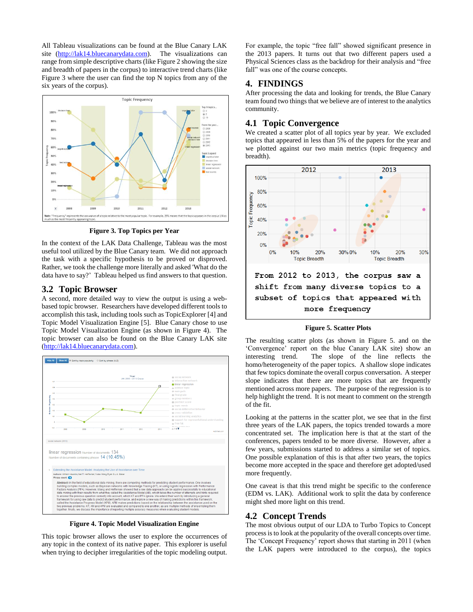All Tableau visualizations can be found at the Blue Canary LAK site [\(http://lak14.bluecanarydata.com\)](http://lak14.bluecanarydata.com/). The visualizations can range from simple descriptive charts (like Figure 2 showing the size and breadth of papers in the corpus) to interactive trend charts (like Figure 3 where the user can find the top N topics from any of the six years of the corpus).



**Figure 3. Top Topics per Year**

In the context of the LAK Data Challenge, Tableau was the most useful tool utilized by the Blue Canary team. We did not approach the task with a specific hypothesis to be proved or disproved. Rather, we took the challenge more literally and asked 'What do the data have to say?' Tableau helped us find answers to that question.

#### **3.2 Topic Browser**

A second, more detailed way to view the output is using a webbased topic browser. Researchers have developed different tools to accomplish this task, including tools such as TopicExplorer [4] and Topic Model Visualization Engine [5]. Blue Canary chose to use Topic Model Visualization Engine (as shown in Figure 4). The topic browser can also be found on the Blue Canary LAK site [\(http://lak14.bluecanarydata.com\)](http://lak14.bluecanarydata.com/).



**Figure 4. Topic Model Visualization Engine**

This topic browser allows the user to explore the occurrences of any topic in the context of its native paper. This explorer is useful when trying to decipher irregularities of the topic modeling output.

For example, the topic "free fall" showed significant presence in the 2013 papers. It turns out that two different papers used a Physical Sciences class as the backdrop for their analysis and "free fall" was one of the course concepts.

#### **4. FINDINGS**

After processing the data and looking for trends, the Blue Canary team found two things that we believe are of interest to the analytics community.

#### **4.1 Topic Convergence**

We created a scatter plot of all topics year by year. We excluded topics that appeared in less than 5% of the papers for the year and we plotted against our two main metrics (topic frequency and breadth).



#### **Figure 5. Scatter Plots**

The resulting scatter plots (as shown in Figure 5. and on the 'Convergence' report on the blue Canary LAK site) show an interesting trend. The slope of the line reflects the homo/heterogeneity of the paper topics. A shallow slope indicates that few topics dominate the overall corpus conversation. A steeper slope indicates that there are more topics that are frequently mentioned across more papers. The purpose of the regression is to help highlight the trend. It is not meant to comment on the strength of the fit.

Looking at the patterns in the scatter plot, we see that in the first three years of the LAK papers, the topics trended towards a more concentrated set. The implication here is that at the start of the conferences, papers tended to be more diverse. However, after a few years, submissions started to address a similar set of topics. One possible explanation of this is that after two years, the topics become more accepted in the space and therefore get adopted/used more frequently.

One caveat is that this trend might be specific to the conference (EDM vs. LAK). Additional work to split the data by conference might shed more light on this trend.

## **4.2 Concept Trends**

The most obvious output of our LDA to Turbo Topics to Concept process is to look at the popularity of the overall concepts over time. The 'Concept Frequency' report shows that starting in 2011 (when the LAK papers were introduced to the corpus), the topics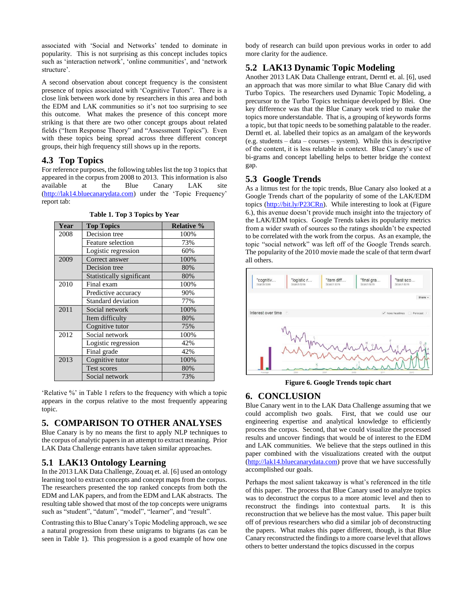associated with 'Social and Networks' tended to dominate in popularity. This is not surprising as this concept includes topics such as 'interaction network', 'online communities', and 'network structure'.

A second observation about concept frequency is the consistent presence of topics associated with 'Cognitive Tutors". There is a close link between work done by researchers in this area and both the EDM and LAK communities so it's not too surprising to see this outcome. What makes the presence of this concept more striking is that there are two other concept groups about related fields ("Item Response Theory" and "Assessment Topics"). Even with these topics being spread across three different concept groups, their high frequency still shows up in the reports.

#### **4.3 Top Topics**

For reference purposes, the following tables list the top 3 topics that appeared in the corpus from 2008 to 2013. This information is also available at the Blue Canary LAK site [\(http://lak14.bluecanarydata.com\)](http://lak14.bluecanarydata.com/) under the 'Topic Frequency' report tab:

| Year | <b>Top Topics</b>         | <b>Relative %</b> |
|------|---------------------------|-------------------|
| 2008 | Decision tree             | 100%              |
|      | Feature selection         | 73%               |
|      | Logistic regression       | 60%               |
| 2009 | Correct answer            | 100%              |
|      | Decision tree             | 80%               |
|      | Statistically significant | 80%               |
| 2010 | Final exam                | 100%              |
|      | Predictive accuracy       | 90%               |
|      | <b>Standard deviation</b> | 77%               |
| 2011 | Social network            | 100%              |
|      | Item difficulty           | 80%               |
|      | Cognitive tutor           | 75%               |
| 2012 | Social network            | 100%              |
|      | Logistic regression       | 42%               |
|      | Final grade               | 42%               |
| 2013 | Cognitive tutor           | 100%              |
|      | Test scores               | 80%               |
|      | Social network            | 73%               |

**Table 1. Top 3 Topics by Year**

'Relative %' in Table 1 refers to the frequency with which a topic appears in the corpus relative to the most frequently appearing topic.

#### **5. COMPARISON TO OTHER ANALYSES**

Blue Canary is by no means the first to apply NLP techniques to the corpus of analytic papers in an attempt to extract meaning. Prior LAK Data Challenge entrants have taken similar approaches.

#### **5.1 LAK13 Ontology Learning**

In the 2013 LAK Data Challenge, Zouaq et. al. [6] used an ontology learning tool to extract concepts and concept maps from the corpus. The researchers presented the top ranked concepts from both the EDM and LAK papers, and from the EDM and LAK abstracts. The resulting table showed that most of the top concepts were unigrams such as "student", "datum", "model", "learner", and "result".

Contrasting this to Blue Canary's Topic Modeling approach, we see a natural progression from these unigrams to bigrams (as can be seen in Table 1). This progression is a good example of how one body of research can build upon previous works in order to add more clarity for the audience.

## **5.2 LAK13 Dynamic Topic Modeling**

Another 2013 LAK Data Challenge entrant, Derntl et. al. [6], used an approach that was more similar to what Blue Canary did with Turbo Topics. The researchers used Dynamic Topic Modeling, a precursor to the Turbo Topics technique developed by Blei. One key difference was that the Blue Canary work tried to make the topics more understandable. That is, a grouping of keywords forms a topic, but that topic needs to be something palatable to the reader. Derntl et. al. labelled their topics as an amalgam of the keywords (e.g. students – data – courses – system). While this is descriptive of the content, it is less relatable in context. Blue Canary's use of bi-grams and concept labelling helps to better bridge the context gap.

#### **5.3 Google Trends**

As a litmus test for the topic trends, Blue Canary also looked at a Google Trends chart of the popularity of some of the LAK/EDM topics [\(http://bit.ly/P23CRn\)](http://bit.ly/P23CRn). While interesting to look at (Figure 6.), this avenue doesn't provide much insight into the trajectory of the LAK/EDM topics. Google Trends takes its popularity metrics from a wider swath of sources so the ratings shouldn't be expected to be correlated with the work from the corpus. As an example, the topic "social network" was left off of the Google Trends search. The popularity of the 2010 movie made the scale of that term dwarf all others.



**Figure 6. Google Trends topic chart**

#### **6. CONCLUSION**

Blue Canary went in to the LAK Data Challenge assuming that we could accomplish two goals. First, that we could use our engineering expertise and analytical knowledge to efficiently process the corpus. Second, that we could visualize the processed results and uncover findings that would be of interest to the EDM and LAK communities. We believe that the steps outlined in this paper combined with the visualizations created with the output [\(http://lak14.bluecanarydata.com\)](http://lak14.bluecanarydata.com/) prove that we have successfully accomplished our goals.

Perhaps the most salient takeaway is what's referenced in the title of this paper. The process that Blue Canary used to analyze topics was to deconstruct the corpus to a more atomic level and then to reconstruct the findings into contextual parts. It is this reconstruction that we believe has the most value. This paper built off of previous researchers who did a similar job of deconstructing the papers. What makes this paper different, though, is that Blue Canary reconstructed the findings to a more coarse level that allows others to better understand the topics discussed in the corpus